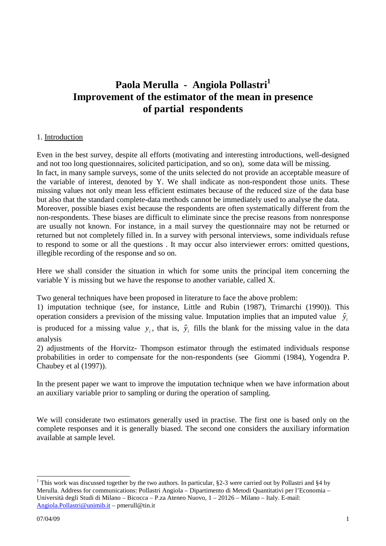# **Paola Merulla - Angiola Pollastri<sup>1</sup> Improvement of the estimator of the mean in presence of partial respondents**

## 1. Introduction

Even in the best survey, despite all efforts (motivating and interesting introductions, well-designed and not too long questionnaires, solicited participation, and so on), some data will be missing. In fact, in many sample surveys, some of the units selected do not provide an acceptable measure of the variable of interest, denoted by Y. We shall indicate as non-respondent those units. These missing values not only mean less efficient estimates because of the reduced size of the data base but also that the standard complete-data methods cannot be immediately used to analyse the data. Moreover, possible biases exist because the respondents are often systematically different from the non-respondents. These biases are difficult to eliminate since the precise reasons from nonresponse are usually not known. For instance, in a mail survey the questionnaire may not be returned or returned but not completely filled in. In a survey with personal interviews, some individuals refuse to respond to some or all the questions . It may occur also interviewer errors: omitted questions, illegible recording of the response and so on.

Here we shall consider the situation in which for some units the principal item concerning the variable Y is missing but we have the response to another variable, called X.

Two general techniques have been proposed in literature to face the above problem:

1) imputation technique (see, for instance, Little and Rubin (1987), Trimarchi (1990)). This operation considers a prevision of the missing value. Imputation implies that an imputed value  $\hat{y}_i$ 

is produced for a missing value  $y_i$ , that is,  $\hat{y}_i$  fills the blank for the missing value in the data analysis

2) adjustments of the Horvitz- Thompson estimator through the estimated individuals response probabilities in order to compensate for the non-respondents (see Giommi (1984), Yogendra P. Chaubey et al (1997)).

In the present paper we want to improve the imputation technique when we have information about an auxiliary variable prior to sampling or during the operation of sampling.

We will considerate two estimators generally used in practise. The first one is based only on the complete responses and it is generally biased. The second one considers the auxiliary information available at sample level.

 $\overline{a}$ 

<sup>&</sup>lt;sup>1</sup> This work was discussed together by the two authors. In particular,  $\S2-3$  were carried out by Pollastri and  $\S4$  by Merulla. Address for communications: Pollastri Angiola – Dipartimento di Metodi Quantitativi per l'Economia – Università degli Studi di Milano – Bicocca – P.za Ateneo Nuovo, 1 – 20126 – Milano – Italy. E-mail: Angiola.Pollastri@unimib.it – pmerull@tin.it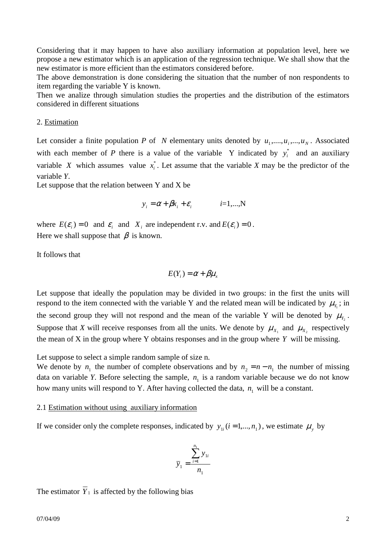Considering that it may happen to have also auxiliary information at population level, here we propose a new estimator which is an application of the regression technique. We shall show that the new estimator is more efficient than the estimators considered before.

The above demonstration is done considering the situation that the number of non respondents to item regarding the variable Y is known.

Then we analize through simulation studies the properties and the distribution of the estimators considered in different situations

### 2. Estimation

Let consider a finite population *P* of *N* elementary units denoted by  $u_1, \ldots, u_i, \ldots, u_N$ . Associated with each member of *P* there is a value of the variable Y indicated by  $y_i^*$  and an auxiliary variable *X* which assumes value  $x_i^*$ . Let assume that the variable *X* may be the predictor of the variable *Y*.

Let suppose that the relation between Y and X be

$$
y_i = \alpha + \beta x_i + \varepsilon_i \qquad i=1,...,N
$$

where  $E(\varepsilon_i) = 0$  and  $\varepsilon_i$  and  $X_i$  are independent r.v. and  $E(\varepsilon_i) = 0$ . Here we shall suppose that  $\beta$  is known.

It follows that

$$
E(Y_i) = \alpha + \beta \mu_x
$$

Let suppose that ideally the population may be divided in two groups: in the first the units will respond to the item connected with the variable Y and the related mean will be indicated by  $\mu_{Y_1}$ ; in the second group they will not respond and the mean of the variable Y will be denoted by  $\mu_{Y_2}$ . Suppose that X will receive responses from all the units. We denote by  $\mu_{X_1}$  and  $\mu_{X_2}$  respectively the mean of X in the group where Y obtains responses and in the group where *Y* will be missing.

Let suppose to select a simple random sample of size n.

We denote by  $n_1$  the number of complete observations and by  $n_2 = n - n_1$  the number of missing data on variable *Y*. Before selecting the sample,  $n_1$  is a random variable because we do not know how many units will respond to Y. After having collected the data,  $n_1$  will be a constant.

#### 2.1 Estimation without using auxiliary information

If we consider only the complete responses, indicated by  $y_{1i}$  ( $i = 1,..., n_1$ ), we estimate  $\mu_y$  by

$$
\overline{y}_1 = \frac{\sum_{i=1}^{n_1} y_{1i}}{n_1}
$$

The estimator  $\overline{Y}_1$  is affected by the following bias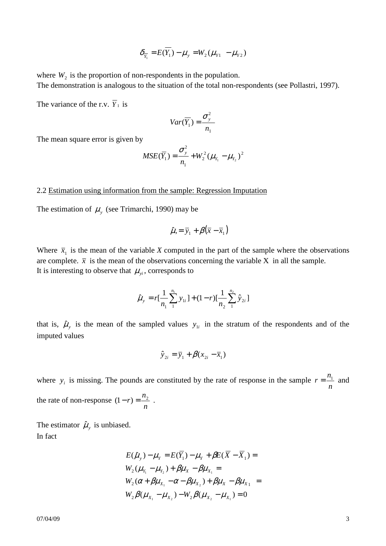$$
\delta_{\overline{Y}_1} = E(\overline{Y}_1) - \mu_y = W_2(\mu_{y_1} - \mu_{y_2})
$$

where  $W_2$  is the proportion of non-respondents in the population. The demonstration is analogous to the situation of the total non-respondents (see Pollastri, 1997).

The variance of the r.v.  $\overline{Y}_1$  is

$$
Var(\overline{Y_1}) = \frac{\sigma_y^2}{n_1}
$$

The mean square error is given by

$$
MSE(\overline{Y}_1) = \frac{\sigma_y^2}{n_1} + W_2^2 (\mu_{Y_1} - \mu_{Y_2})^2
$$

#### 2.2 Estimation using information from the sample: Regression Imputation

The estimation of  $\mu_{y}$  (see Trimarchi, 1990) may be

$$
\hat{\mu} = \bar{y}_1 + \beta(\bar{x} - \bar{x}_1)
$$

Where  $\bar{x}_1$  is the mean of the variable *X* computed in the part of the sample where the observations are complete.  $\bar{x}$  is the mean of the observations concerning the variable X in all the sample. It is interesting to observe that  $\mu_{\nu i}$ , corresponds to

$$
\hat{\mu}_{y} = r \left[ \frac{1}{n_1} \sum_{1}^{n_1} y_{1i} \right] + (1 - r) \left[ \frac{1}{n_2} \sum_{1}^{n_2} \hat{y}_{2i} \right]
$$

that is,  $\hat{\mu}_y$  is the mean of the sampled values  $y_{1i}$  in the stratum of the respondents and of the imputed values

$$
\hat{y}_{2i} = \overline{y}_1 + \beta(x_{2i} - \overline{x}_1)
$$

where  $y_i$  is missing. The pounds are constituted by the rate of response in the sample *n*  $r = \frac{n_1}{n_1}$  and the rate of non-response *n*  $(1 - r) = \frac{n_2}{n_1}$ .

The estimator  $\hat{\mu}_y$  is unbiased. In fact

$$
E(\hat{\mu}_y) - \mu_Y = E(\overline{Y}_1) - \mu_Y + \beta E(\overline{X} - \overline{X}_1) =
$$
  
\n
$$
W_2(\mu_{Y_1} - \mu_{Y_2}) + \beta \mu_X - \beta \mu_{X_1} =
$$
  
\n
$$
W_2(\alpha + \beta \mu_{X_1} - \alpha - \beta \mu_{X_2}) + \beta \mu_X - \beta \mu_{X_1} =
$$
  
\n
$$
W_2 \beta(\mu_{X_1} - \mu_{X_2}) - W_2 \beta(\mu_{X_2} - \mu_{X_1}) = 0
$$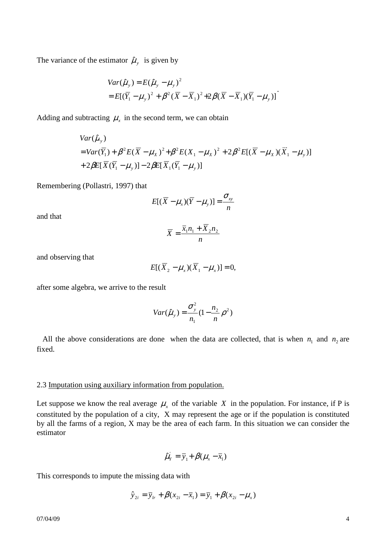The variance of the estimator  $\hat{\mu}_y$  is given by

$$
Var(\hat{\mu}_y) = E(\hat{\mu}_y - \mu_y)^2
$$
  
=  $E[(\overline{Y}_1 - \mu_y)^2 + \beta^2 (\overline{X} - \overline{X}_1)^2 + 2\beta (\overline{X} - \overline{X}_1)(\overline{Y}_1 - \mu_y)]$ 

.

Adding and subtracting  $\mu_x$  in the second term, we can obtain

$$
Var(\hat{\mu}_y)
$$
  
=  $Var(\overline{Y}_1) + \beta^2 E(\overline{X} - \mu_X)^2 + \beta^2 E(X_1 - \mu_X)^2 + 2\beta^2 E[(\overline{X} - \mu_X)(\overline{X}_1 - \mu_y)]$   
+  $2\beta E[\overline{X}(\overline{Y}_1 - \mu_y)] - 2\beta E[\overline{X}_1(\overline{Y}_1 - \mu_y)]$ 

Remembering (Pollastri, 1997) that

$$
E[(\overline{X} - \mu_x)(\overline{Y} - \mu_y)] = \frac{\sigma_{xy}}{n}
$$

and that

$$
\overline{X} = \frac{\overline{x}_1 n_1 + \overline{X}_2 n_2}{n}
$$

and observing that

$$
E[(\overline{X}_2 - \mu_x)(\overline{X}_1 - \mu_x)] = 0,
$$

after some algebra, we arrive to the result

$$
Var(\hat{\mu}_y) = \frac{\sigma_y^2}{n_1} (1 - \frac{n_2}{n} \rho^2)
$$

All the above considerations are done when the data are collected, that is when  $n_1$  and  $n_2$  are fixed.

#### 2.3 Imputation using auxiliary information from population.

Let suppose we know the real average  $\mu_x$  of the variable X in the population. For instance, if P is constituted by the population of a city, X may represent the age or if the population is constituted by all the farms of a region, X may be the area of each farm. In this situation we can consider the estimator

$$
\hat{\mu}_Y = \overline{y}_1 + \beta(\mu_x - \overline{x}_1)
$$

This corresponds to impute the missing data with

$$
\hat{y}_{2i} = \overline{y}_{1r} + \beta(x_{2i} - \overline{x}_1) = \overline{y}_1 + \beta(x_{2i} - \mu_x)
$$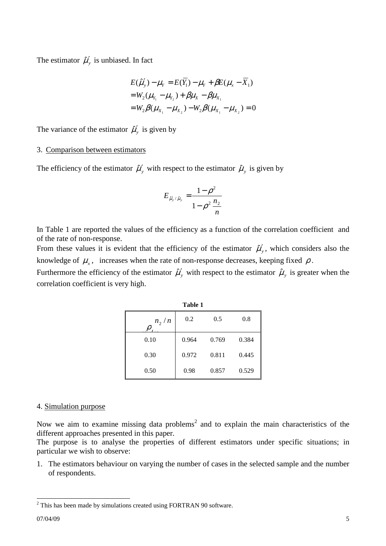The estimator  $\hat{\mu}'_y$  is unbiased. In fact

$$
E(\hat{\mu}'_y) - \mu_Y = E(\overline{Y}_1) - \mu_Y + \beta E(\mu_x - \overline{X}_1)
$$
  
=  $W_2(\mu_{Y_1} - \mu_{Y_2}) + \beta \mu_X - \beta \mu_{X_1}$   
=  $W_2 \beta(\mu_{X_1} - \mu_{X_2}) - W_2 \beta(\mu_{X_1} - \mu_{X_2}) = 0$ 

The variance of the estimator  $\hat{\mu}'_y$  is given by

## 3. Comparison between estimators

The efficiency of the estimator  $\hat{\mu}'_y$  with respect to the estimator  $\hat{\mu}_y$  is given by

$$
E_{\hat{\mu}'_y/\hat{\mu}_y} = \frac{1-\rho^2}{1-\rho^2 \frac{n_2}{n}}
$$

In Table 1 are reported the values of the efficiency as a function of the correlation coefficient and of the rate of non-response.

From these values it is evident that the efficiency of the estimator  $\hat{\mu}'_y$ , which considers also the knowledge of  $\mu_x$ , increases when the rate of non-response decreases, keeping fixed  $\rho$ .

Furthermore the efficiency of the estimator  $\hat{\mu}'_y$  with respect to the estimator  $\hat{\mu}_y$  is greater when the correlation coefficient is very high.

**Table 1** 

| танг т |       |       |
|--------|-------|-------|
| 0.2    | 0.5   | 0.8   |
| 0.964  | 0.769 | 0.384 |
| 0.972  | 0.811 | 0.445 |
| 0.98   | 0.857 | 0.529 |
|        |       |       |

### 4. Simulation purpose

Now we aim to examine missing data problems<sup>2</sup> and to explain the main characteristics of the different approaches presented in this paper.

The purpose is to analyse the properties of different estimators under specific situations; in particular we wish to observe:

1. The estimators behaviour on varying the number of cases in the selected sample and the number of respondents.

<sup>&</sup>lt;sup>2</sup> This has been made by simulations created using FORTRAN 90 software.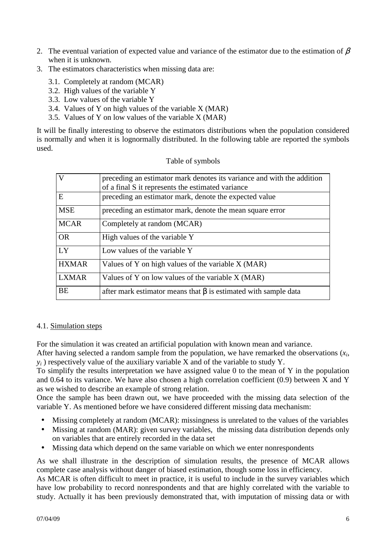- 2. The eventual variation of expected value and variance of the estimator due to the estimation of  $\beta$ when it is unknown.
- 3. The estimators characteristics when missing data are:
	- 3.1. Completely at random (MCAR)
	- 3.2. High values of the variable Y
	- 3.3. Low values of the variable Y
	- 3.4. Values of Y on high values of the variable X (MAR)
	- 3.5. Values of Y on low values of the variable X (MAR)

It will be finally interesting to observe the estimators distributions when the population considered is normally and when it is lognormally distributed. In the following table are reported the symbols used.

| $\overline{V}$ | preceding an estimator mark denotes its variance and with the addition |
|----------------|------------------------------------------------------------------------|
|                | of a final S it represents the estimated variance                      |
| E              | preceding an estimator mark, denote the expected value                 |
| <b>MSE</b>     | preceding an estimator mark, denote the mean square error              |
| <b>MCAR</b>    | Completely at random (MCAR)                                            |
| <b>OR</b>      | High values of the variable Y                                          |
| LY             | Low values of the variable Y                                           |
| <b>HXMAR</b>   | Values of Y on high values of the variable X (MAR)                     |
| <b>LXMAR</b>   | Values of Y on low values of the variable X (MAR)                      |
| <b>BE</b>      | after mark estimator means that $\beta$ is estimated with sample data  |

### Table of symbols

## 4.1. Simulation steps

For the simulation it was created an artificial population with known mean and variance.

After having selected a random sample from the population, we have remarked the observations  $(x_i)$  $y_i$ ) respectively value of the auxiliary variable X and of the variable to study Y.

To simplify the results interpretation we have assigned value 0 to the mean of Y in the population and 0.64 to its variance. We have also chosen a high correlation coefficient (0.9) between X and Y as we wished to describe an example of strong relation.

Once the sample has been drawn out, we have proceeded with the missing data selection of the variable Y. As mentioned before we have considered different missing data mechanism:

- Missing completely at random (MCAR): missingness is unrelated to the values of the variables
- Missing at random (MAR): given survey variables, the missing data distribution depends only on variables that are entirely recorded in the data set
- Missing data which depend on the same variable on which we enter nonrespondents

As we shall illustrate in the description of simulation results, the presence of MCAR allows complete case analysis without danger of biased estimation, though some loss in efficiency.

As MCAR is often difficult to meet in practice, it is useful to include in the survey variables which have low probability to record nonrespondents and that are highly correlated with the variable to study. Actually it has been previously demonstrated that, with imputation of missing data or with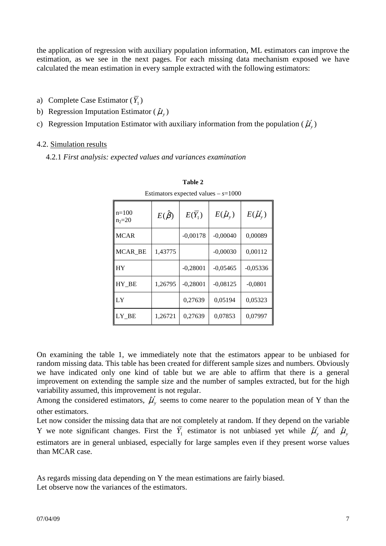the application of regression with auxiliary population information, ML estimators can improve the estimation, as we see in the next pages. For each missing data mechanism exposed we have calculated the mean estimation in every sample extracted with the following estimators:

- a) Complete Case Estimator  $(Y_1)$
- b) Regression Imputation Estimator  $(\hat{\mu}_y)$
- c) Regression Imputation Estimator with auxiliary information from the population  $(\hat{\mu}'_y)$

## 4.2. Simulation results

4.2.1 *First analysis: expected values and variances examination* 

| $n=100$<br>$n_2 = 20$ | $E(\hat{\beta})$ | $E(\overline{Y}_1)$ | $E(\hat{\mu}_{v})$ | $E(\hat{\mu}'_y)$ |  |  |  |
|-----------------------|------------------|---------------------|--------------------|-------------------|--|--|--|
| <b>MCAR</b>           |                  | $-0,00178$          | $-0,00040$         | 0,00089           |  |  |  |
| MCAR BE               | 1,43775          |                     | $-0,00030$         | 0,00112           |  |  |  |
| <b>HY</b>             |                  | $-0,28001$          | $-0,05465$         | $-0,05336$        |  |  |  |
| HY BE                 | 1,26795          | $-0,28001$          | $-0,08125$         | $-0,0801$         |  |  |  |
| LY                    |                  | 0,27639             | 0,05194            | 0,05323           |  |  |  |
| LY BE                 | 1,26721          | 0.27639             | 0,07853            | 0,07997           |  |  |  |

**Table 2** 

Estimators expected values  $s=1000$ 

On examining the table 1, we immediately note that the estimators appear to be unbiased for random missing data. This table has been created for different sample sizes and numbers. Obviously we have indicated only one kind of table but we are able to affirm that there is a general improvement on extending the sample size and the number of samples extracted, but for the high variability assumed, this improvement is not regular.

Among the considered estimators,  $\hat{\mu}'_y$  seems to come nearer to the population mean of Y than the other estimators.

Let now consider the missing data that are not completely at random. If they depend on the variable Y we note significant changes. First the  $\overline{Y}_1$  estimator is not unbiased yet while  $\hat{\mu}'_y$  and  $\hat{\mu}_y$ estimators are in general unbiased, especially for large samples even if they present worse values than MCAR case.

As regards missing data depending on Y the mean estimations are fairly biased. Let observe now the variances of the estimators.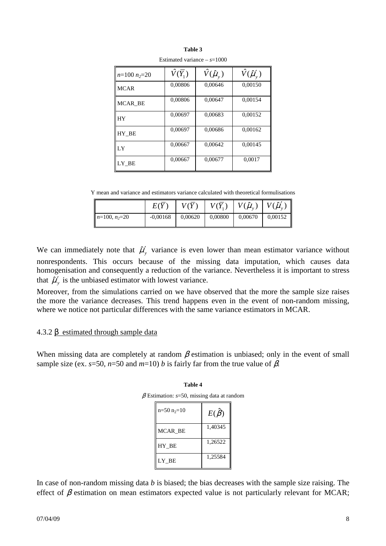| Lounnaica variance<br>$0 - 1000$ |                           |                          |                             |  |  |  |
|----------------------------------|---------------------------|--------------------------|-----------------------------|--|--|--|
| $n=100 n_{2}=20$                 | $\hat{V}(\overline{Y}_1)$ | $\hat{V}(\hat{\mu}_{y})$ | $\hat{V}(\hat{\mu}'_{\nu})$ |  |  |  |
| <b>MCAR</b>                      | 0,00806                   | 0,00646                  | 0,00150                     |  |  |  |
| MCAR BE                          | 0,00806                   | 0,00647                  | 0,00154                     |  |  |  |
| <b>HY</b>                        | 0,00697                   | 0,00683                  | 0,00152                     |  |  |  |
| HY BE                            | 0,00697                   | 0,00686                  | 0,00162                     |  |  |  |
| LY                               | 0,00667                   | 0,00642                  | 0,00145                     |  |  |  |
| LY BE                            | 0,00667                   | 0,00677                  | 0,0017                      |  |  |  |

**Table 3**  Estimated variance – *s*=1000

Y mean and variance and estimators variance calculated with theoretical formulisations

|                 | E(Y)       | V(Y)    | $V(Y_1)$ |         | $\parallel$<br>$V(\hat{\mu}_{v})$ $V(\hat{\mu}'_{v})$ |
|-----------------|------------|---------|----------|---------|-------------------------------------------------------|
| $n=100, n_2=20$ | $-0,00168$ | 0,00620 | 0,00800  | 0,00670 | $\mathbf l$<br>0,00152                                |

We can immediately note that  $\hat{\mu}'_y$  variance is even lower than mean estimator variance without nonrespondents. This occurs because of the missing data imputation, which causes data homogenisation and consequently a reduction of the variance. Nevertheless it is important to stress that  $\hat{\mu}'_y$  is the unbiased estimator with lowest variance.

Moreover, from the simulations carried on we have observed that the more the sample size raises the more the variance decreases. This trend happens even in the event of non-random missing, where we notice not particular differences with the same variance estimators in MCAR.

## 4.3.2 β estimated through sample data

When missing data are completely at random  $\beta$  estimation is unbiased; only in the event of small sample size (ex. *s*=50, *n*=50 and *m*=10) *b* is fairly far from the true value of  $\beta$ .

| sumanon. 5–90, missing uata at ran |                  |  |  |  |
|------------------------------------|------------------|--|--|--|
| $n=50$ $n_{2}=10$                  | $E(\hat{\beta})$ |  |  |  |
| MCAR BE                            | 1,40345          |  |  |  |
| HY BE                              | 1,26522          |  |  |  |
| LY BE                              | 1,25584          |  |  |  |

In case of non-random missing data *b* is biased; the bias decreases with the sample size raising. The effect of  $\beta$  estimation on mean estimators expected value is not particularly relevant for MCAR;

**Table 4**  β Estimation: *s*=50, missing data at random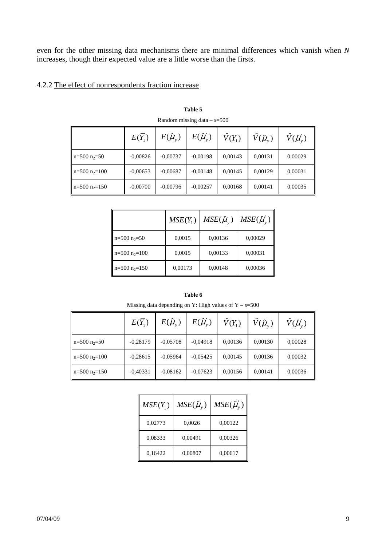even for the other missing data mechanisms there are minimal differences which vanish when *N* increases, though their expected value are a little worse than the firsts.

# 4.2.2 The effect of nonrespondents fraction increase

|                     | $E(Y_1)$   | $E(\hat{\mu}_{v})$ | $E(\hat{\mu}'_y)$ | $\hat{V}(\overline{Y}_1)$ | $\hat{V}(\hat{\mu}_{v})$ | $\hat{V}(\hat{\mu}'_v)$ |
|---------------------|------------|--------------------|-------------------|---------------------------|--------------------------|-------------------------|
| $n=500$ $n_2=50$    | $-0,00826$ | $-0,00737$         | $-0,00198$        | 0,00143                   | 0,00131                  | 0,00029                 |
| $n=500$ $n_{2}=100$ | $-0,00653$ | $-0,00687$         | $-0,00148$        | 0,00145                   | 0,00129                  | 0,00031                 |
| $n=500$ $n_{2}=150$ | $-0,00700$ | $-0,00796$         | $-0,00257$        | 0,00168                   | 0,00141                  | 0,00035                 |

**Table 5**  Random missing data – *s*=500

|                   | $MSE(Y_1)$ | $MSE(\hat{\mu}_{v})$ | $MSE(\hat{\mu}'_v)$ |
|-------------------|------------|----------------------|---------------------|
| $n=500 n_2=50$    | 0,0015     | 0,00136              | 0,00029             |
| $n=500$ $n_2=100$ | 0,0015     | 0,00133              | 0,00031             |
| $n=500$ $n_2=150$ | 0,00173    | 0,00148              | 0,00036             |

| Missing data depending on Y: High values of $Y - s = 500$ |                     |                    |                   |                           |                          |                         |
|-----------------------------------------------------------|---------------------|--------------------|-------------------|---------------------------|--------------------------|-------------------------|
|                                                           | $E(\overline{Y_1})$ | $E(\hat{\mu}_{v})$ | $E(\hat{\mu}'_y)$ | $\hat{V}(\overline{Y}_1)$ | $\hat{V}(\hat{\mu}_{v})$ | $\hat{V}(\hat{\mu}'_v)$ |
| $n=500$ $n_2=50$                                          | $-0,28179$          | $-0.05708$         | $-0,04918$        | 0,00136                   | 0,00130                  | 0,00028                 |
| $n=500$ $n_{2}=100$                                       | $-0,28615$          | $-0.05964$         | $-0.05425$        | 0,00145                   | 0,00136                  | 0,00032                 |
| $n=500$ $n_{2}=150$                                       | $-0,40331$          | $-0.08162$         | $-0,07623$        | 0,00156                   | 0,00141                  | 0,00036                 |

**Table 6** 

| $MSE(Y_1)$ | $MSE(\hat{\mu}_{\nu})$ | $MSE(\hat{\mu}'_y)$ |
|------------|------------------------|---------------------|
| 0,02773    | 0,0026                 | 0,00122             |
| 0,08333    | 0,00491                | 0,00326             |
| 0,16422    | 0,00807                | 0,00617             |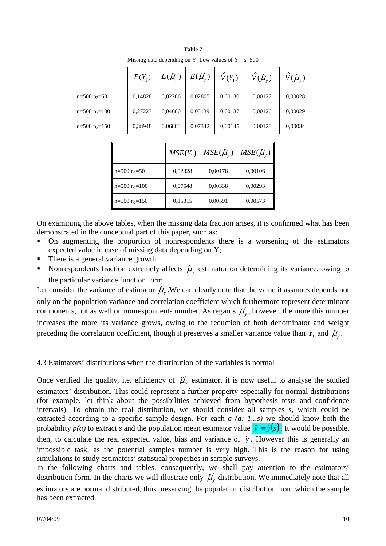|                     | $E(\overline{Y}_1)$ | $E(\hat{\mu}_{v})$ | $E(\hat{\mu}'_y)$ | $\hat{V}(\overline{Y}_1)$ | $\hat{V}(\hat{\mu}_{\nu})$ | $\hat{V}(\hat{\mu}'_v)$ |
|---------------------|---------------------|--------------------|-------------------|---------------------------|----------------------------|-------------------------|
| $n=500$ $n_2=50$    | 0,14828             | 0,02266            | 0,02805           | 0,00130                   | 0,00127                    | 0,00028                 |
| $n=500$ $n_{2}=100$ | 0,27223             | 0,04600            | 0,05139           | 0,00137                   | 0,00126                    | 0,00029                 |
| $n=500$ $n_{2}=150$ | 0,38948             | 0,06803            | 0,07342           | 0,00145                   | 0,00128                    | 0,00034                 |

**Table 7**  Missing data depending on Y: Low values of  $Y - s = 500$ 

|                   | $MSE(Y_1)$ | $MSE(\hat{\mu}_{v})$ | $MSE(\hat{\mu}'_y)$ |
|-------------------|------------|----------------------|---------------------|
| $n=500$ $n_2=50$  | 0,02328    | 0,00178              | 0,00106             |
| $n=500$ $n_2=100$ | 0,07548    | 0,00338              | 0,00293             |
| $n=500$ $n_2=150$ | 0,15315    | 0,00591              | 0,00573             |

On examining the above tables, when the missing data fraction arises, it is confirmed what has been demonstrated in the conceptual part of this paper, such as:

- On augmenting the proportion of nonrespondents there is a worsening of the estimators expected value in case of missing data depending on Y;
- There is a general variance growth.
- Nonrespondents fraction extremely affects  $\hat{\mu}_y$  estimator on determining its variance, owing to the particular variance function form.

Let consider the variance of estimator  $\hat{\mu}_y$ . We can clearly note that the value it assumes depends not only on the population variance and correlation coefficient which furthermore represent determinant components, but as well on nonrespondents number. As regards  $\hat{\mu}'_y$ , however, the more this number increases the more its variance grows, owing to the reduction of both denominator and weight preceding the correlation coefficient, though it preserves a smaller variance value than  $\overline{Y}_1$  and  $\hat{\mu}_y$ .

## 4.3 Estimators' distributions when the distribution of the variables is normal

Once verified the quality, i.e. efficiency of  $\hat{\mu}'_y$  estimator, it is now useful to analyse the studied estimators' distribution. This could represent a further property especially for normal distributions (for example, let think about the possibilities achieved from hypothesis tests and confidence intervals). To obtain the real distribution, we should consider all samples *s*, which could be extracted according to a specific sample design. For each *a (a: 1...s)* we should know both the probability  $p(a)$  to extract *s* and the population mean estimator value  $\hat{y} = \hat{y}(s)$ . It would be possible, then, to calculate the real expected value, bias and variance of  $\hat{y}$ . However this is generally an impossible task, as the potential samples number is very high. This is the reason for using simulations to study estimators' statistical properties in sample surveys.

In the following charts and tables, consequently, we shall pay attention to the estimators' distribution form. In the charts we will illustrate only  $\hat{\mu}'_y$  distribution. We immediately note that all estimators are normal distributed, thus preserving the population distribution from which the sample has been extracted.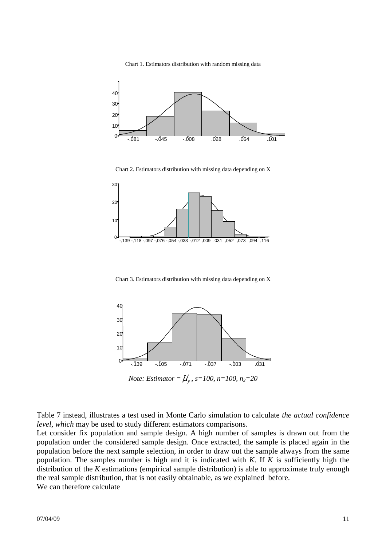Chart 1. Estimators distribution with random missing data



Chart 2. Estimators distribution with missing data depending on X



Chart 3. Estimators distribution with missing data depending on X



*Note: Estimator =*  $\hat{\mu}'_{y}$ *, s=100, n=100, n<sub>2</sub>=20</sub>* 

Table 7 instead, illustrates a test used in Monte Carlo simulation to calculate *the actual confidence level, which* may be used to study different estimators comparisons*.*

Let consider fix population and sample design. A high number of samples is drawn out from the population under the considered sample design. Once extracted, the sample is placed again in the population before the next sample selection, in order to draw out the sample always from the same population. The samples number is high and it is indicated with *K*. If *K* is sufficiently high the distribution of the *K* estimations (empirical sample distribution) is able to approximate truly enough the real sample distribution, that is not easily obtainable, as we explained before. We can therefore calculate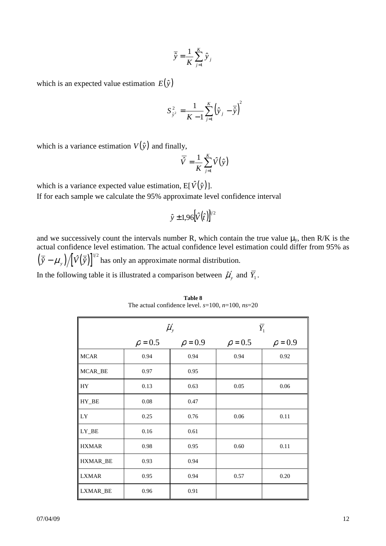$$
\overline{\hat{y}} = \frac{1}{K} \sum_{j=1}^{K} \hat{y}_j
$$

which is an expected value estimation  $E(\hat{y})$ 

$$
S_{\hat{y}^2}^2 = \frac{1}{K-1} \sum_{j=1}^K (\hat{y}_j - \overline{\hat{y}})^2
$$

which is a variance estimation  $V(\hat{y})$  and finally,

$$
\overline{\hat{V}} = \frac{1}{K} \sum_{j=1}^{K} \hat{V}(\hat{y})
$$

which is a variance expected value estimation,  $E[\hat{V}(\hat{y})]$ . If for each sample we calculate the 95% approximate level confidence interval

$$
\hat{y} \pm 1.96 [\hat{V}(\hat{t})]^{1/2}
$$

and we successively count the intervals number R, which contain the true value  $\mu_y$ , then R/K is the actual confidence level estimation. The actual confidence level estimation could differ from 95% as  $(\bar{\hat{y}} - \mu_{y}) / [\hat{V}(\bar{\hat{y}})]^{1/2}$  has only an approximate normal distribution. In the following table it is illustrated a comparison between  $\hat{\mu}'_y$  and  $\overline{Y}_1$ .

|              |              | $\hat{\mu}'_{y}$ |              | $\overline{Y}_1$ |
|--------------|--------------|------------------|--------------|------------------|
|              | $\rho = 0.5$ | $\rho = 0.9$     | $\rho = 0.5$ | $\rho = 0.9$     |
| <b>MCAR</b>  | 0.94         | 0.94             | 0.94         | 0.92             |
| MCAR_BE      | 0.97         | 0.95             |              |                  |
| HY           | 0.13         | 0.63             | 0.05         | 0.06             |
| HY_BE        | $0.08\,$     | 0.47             |              |                  |
| LY           | 0.25         | 0.76             | 0.06         | 0.11             |
| LY_BE        | 0.16         | 0.61             |              |                  |
| <b>HXMAR</b> | 0.98         | 0.95             | 0.60         | 0.11             |
| HXMAR_BE     | 0.93         | 0.94             |              |                  |
| <b>LXMAR</b> | 0.95         | 0.94             | 0.57         | 0.20             |
| LXMAR_BE     | 0.96         | 0.91             |              |                  |

**Table 8**  The actual confidence level. *s*=100, *n*=100, *ns*=20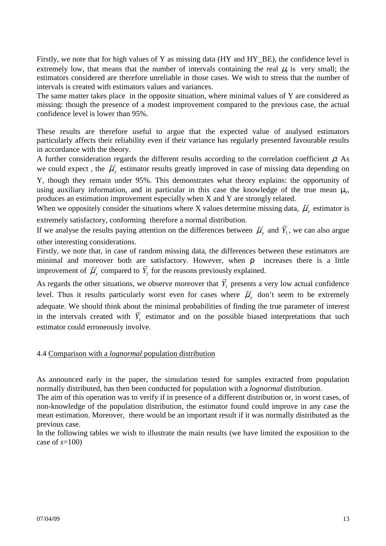Firstly, we note that for high values of Y as missing data (HY and HY\_BE), the confidence level is extremely low, that means that the number of intervals containing the real  $\mu$ <sup>*y*</sup> is very small; the estimators considered are therefore unreliable in those cases. We wish to stress that the number of intervals is created with estimators values and variances.

The same matter takes place in the opposite situation, where minimal values of Y are considered as missing: though the presence of a modest improvement compared to the previous case, the actual confidence level is lower than 95%.

These results are therefore useful to argue that the expected value of analysed estimators particularly affects their reliability even if their variance has regularly presented favourable results in accordance with the theory.

A further consideration regards the different results according to the correlation coefficient  $\rho$ . As we could expect, the  $\hat{\mu}'_y$  estimator results greatly improved in case of missing data depending on Y, though they remain under 95%. This demonstrates what theory explains: the opportunity of using auxiliary information, and in particular in this case the knowledge of the true mean  $\mu_v$ , produces an estimation improvement especially when X and Y are strongly related.

When we oppositely consider the situations where X values determine missing data,  $\hat{\mu}'_y$  estimator is extremely satisfactory, conforming therefore a normal distribution.

If we analyse the results paying attention on the differences between  $\hat{\mu}'_y$  and  $\overline{Y}_1$ , we can also argue other interesting considerations.

Firstly, we note that, in case of random missing data, the differences between these estimators are minimal and moreover both are satisfactory. However, when ρ increases there is a little improvement of  $\hat{\mu}'_y$  compared to  $\overline{Y}_1$  for the reasons previously explained.

As regards the other situations, we observe moreover that  $Y_1$  presents a very low actual confidence level. Thus it results particularly worst even for cases where  $\hat{\mu}'_y$  don't seem to be extremely adequate. We should think about the minimal probabilities of finding the true parameter of interest in the intervals created with  $Y_1$  estimator and on the possible biased interpretations that such estimator could erroneously involve.

## 4.4 Comparison with a *lognormal* population distribution

As announced early in the paper, the simulation tested for samples extracted from population normally distributed, has then been conducted for population with a *lognormal* distribution.

The aim of this operation was to verify if in presence of a different distribution or, in worst cases, of non-knowledge of the population distribution, the estimator found could improve in any case the mean estimation. Moreover, there would be an important result if it was normally distributed as the previous case.

In the following tables we wish to illustrate the main results (we have limited the exposition to the case of *s*=100)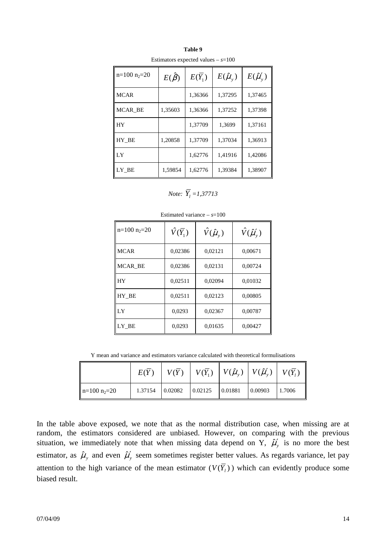| <b>Estimators</b> expected variages |                  |                     |                    |                   |  |  |  |
|-------------------------------------|------------------|---------------------|--------------------|-------------------|--|--|--|
| $n=100$ $n_2=20$                    | $E(\hat{\beta})$ | $E(\overline{Y}_1)$ | $E(\hat{\mu}_{v})$ | $E(\hat{\mu}'_y)$ |  |  |  |
| <b>MCAR</b>                         |                  | 1,36366             | 1,37295            | 1,37465           |  |  |  |
| MCAR BE                             | 1,35603          | 1,36366             | 1,37252            | 1,37398           |  |  |  |
| <b>HY</b>                           |                  | 1,37709             | 1,3699             | 1,37161           |  |  |  |
| HY_BE                               | 1,20858          | 1,37709             | 1,37034            | 1,36913           |  |  |  |
| LY                                  |                  | 1,62776             | 1,41916            | 1,42086           |  |  |  |
| LY_BE                               | 1,59854          | 1,62776             | 1,39384            | 1,38907           |  |  |  |

**Table 9**  Estimators expected values  $- s = 100$ 

*Note:*  $\overline{Y}_1 = 1,37713$ 

| $n=100$ $n_2=20$ | $\hat{V}(\overline{Y}_1)$ | $\hat{V}(\hat{\mu}_{v})$ | $\hat{V}(\hat{\mu}'_v)$ |
|------------------|---------------------------|--------------------------|-------------------------|
| <b>MCAR</b>      | 0,02386                   | 0,02121                  | 0,00671                 |
| MCAR BE          | 0,02386                   | 0,02131                  | 0,00724                 |
| <b>HY</b>        | 0,02511                   | 0,02094                  | 0,01032                 |
| HY BE            | 0,02511                   | 0,02123                  | 0,00805                 |
| LY               | 0,0293                    | 0,02367                  | 0,00787                 |
| LY BE            | 0,0293                    | 0,01635                  | 0,00427                 |

Estimated variance  $- s = 100$ 

Y mean and variance and estimators variance calculated with theoretical formulisations

|                | E(Y)    |         |         |         | $ V(\bar{Y}_1)  V(\hat{\mu}_{\nu})  V(\hat{\mu}'_{\nu})  V(\bar{Y}_1)$ | $\parallel$ |
|----------------|---------|---------|---------|---------|------------------------------------------------------------------------|-------------|
| $n=100 n_2=20$ | 1.37154 | 0.02082 | 0.02125 | 0.01881 | 0.00903                                                                | 1.7006      |

In the table above exposed, we note that as the normal distribution case, when missing are at random, the estimators considered are unbiased. However, on comparing with the previous situation, we immediately note that when missing data depend on Y,  $\hat{\mu}'_y$  is no more the best estimator, as  $\hat{\mu}_y$  and even  $\hat{\mu}_y'$  seem sometimes register better values. As regards variance, let pay attention to the high variance of the mean estimator  $(V(Y<sub>l</sub>))$  which can evidently produce some biased result.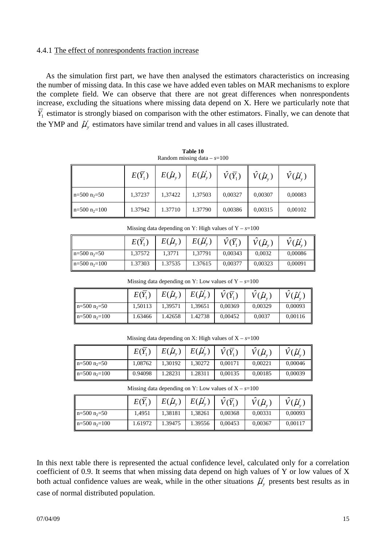## 4.4.1 The effect of nonrespondents fraction increase

As the simulation first part, we have then analysed the estimators characteristics on increasing the number of missing data. In this case we have added even tables on MAR mechanisms to explore the complete field. We can observe that there are not great differences when nonrespondents increase, excluding the situations where missing data depend on X. Here we particularly note that *Y*<sub>1</sub> estimator is strongly biased on comparison with the other estimators. Finally, we can denote that the YMP and  $\hat{\mu}'_y$  estimators have similar trend and values in all cases illustrated.

|                   | $E(Y_1)$ | $E(\hat{\mu}_{v})$ | $E(\hat{\mu}'_y)$ | $\hat{V}(\overline{Y}_1)$ | $\hat{V}(\hat{\mu}_{\nu})$ | $\hat{V}(\hat{\mu}'_v)$ |
|-------------------|----------|--------------------|-------------------|---------------------------|----------------------------|-------------------------|
| $n=500$ $n_2=50$  | 1,37237  | 1,37422            | 1,37503           | 0,00327                   | 0,00307                    | 0,00083                 |
| $n=500$ $n_2=100$ | 1.37942  | 1.37710            | 1.37790           | 0,00386                   | 0,00315                    | 0,00102                 |

**Table 10**  Random missing data – *s*=100

Missing data depending on Y: High values of  $Y - s = 100$ 

|                   | $E(Y_1)$ | $E(\hat{\mu}_{v})$ | $E(\hat{\mu}'_y)$ | $\hat{V}(\overline{Y})$ | $\hat{V}(\hat{\mu}_{v})$ | $\widetilde{V}(\hat{\mu}'_{v})$ |
|-------------------|----------|--------------------|-------------------|-------------------------|--------------------------|---------------------------------|
| $n=500$ $n_2=50$  | 1.37572  | 1,3771             | 1,37791           | 0,00343                 | 0.0032                   | 0,00086                         |
| $n=500$ $n_2=100$ | 1.37303  | 1.37535            | 1.37615           | 0.00377                 | 0.00323                  | 0,00091                         |

Missing data depending on Y: Low values of  $Y - s = 100$ 

|                     | $E(Y_1)$ | $E(\hat{\mu}_{v})$ | $E(\hat{\mu}'_y)$ | $\hat{V}(\overline{Y}_1)$ | $V(\hat{\mu}_{v})$ | $V(\hat{\mu}'_{v})$ |
|---------------------|----------|--------------------|-------------------|---------------------------|--------------------|---------------------|
| $n=500$ $n_2=50$    | 1,50113  | 1,39571            | 1,39651           | 0,00369                   | 0,00329            | 0,00093             |
| $n=500$ $n_{2}=100$ | 1.63466  | 1.42658            | 1.42738           | 0,00452                   | 0,0037             | 0,00116             |

Missing data depending on X: High values of  $X - s = 100$ 

|                     | $E(Y_1)$ | $E(\hat{\mu}_{v})$ | $E(\hat{\mu}'_n)$ | $\hat{V}(\overline{Y}_1)$ | $\hat{\nabla}(\hat{\mu}_{\nu})$ | $\hat{\phantom{a}}$<br>$\hat{V}(\hat{\mu}'_{v})$ |
|---------------------|----------|--------------------|-------------------|---------------------------|---------------------------------|--------------------------------------------------|
| $n=500$ $n2=50$     | 1.08762  | 1,30192            | 1.30272           | 0,00171                   | 0,00221                         | 0,00046                                          |
| $n=500$ $n_{2}=100$ | 0.94098  | 1.28231            | 1.28311           | 0,00135                   | 0,00185                         | 0,00039                                          |

Missing data depending on Y: Low values of  $X - s = 100$ 

|                     | $E(Y_1)$ | $E(\hat{\mu}_{v})$ | $E(\hat{\mu}'_y)$ | $\hat{V}(\overline{Y}_1)$ | $V(\hat{\mu}_{v})$ | $\hat{V}(\hat{\mu}'_y)$ |
|---------------------|----------|--------------------|-------------------|---------------------------|--------------------|-------------------------|
| $n=500$ $n_2=50$    | 1.4951   | 1,38181            | 1,38261           | 0,00368                   | 0,00331            | 0.00093                 |
| $n=500$ $n_{2}=100$ | 1.61972  | 1.39475            | 1.39556           | 0.00453                   | 0,00367            | 0,00117                 |

In this next table there is represented the actual confidence level, calculated only for a correlation coefficient of 0.9. It seems that when missing data depend on high values of Y or low values of X both actual confidence values are weak, while in the other situations  $\hat{\mu}'_y$  presents best results as in case of normal distributed population.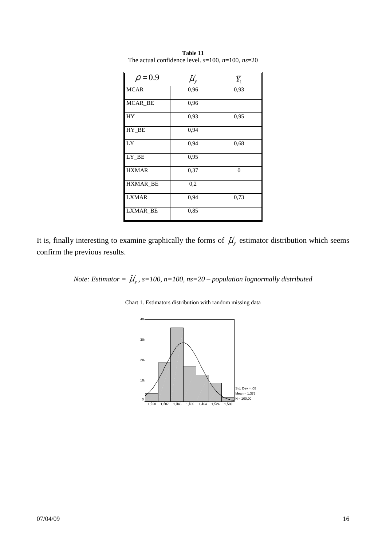| $\rho = 0.9$    | $\hat{\mu}'_{y}$ | $Y_{1}$        |
|-----------------|------------------|----------------|
| <b>MCAR</b>     | 0,96             | 0,93           |
| MCAR_BE         | 0,96             |                |
| HY              | 0,93             | 0,95           |
| HY_BE           | 0,94             |                |
| LY              | 0,94             | 0.68           |
| $LY$ $BE$       | 0,95             |                |
| <b>HXMAR</b>    | 0,37             | $\overline{0}$ |
| <b>HXMAR_BE</b> | 0,2              |                |
| <b>LXMAR</b>    | 0,94             | 0,73           |
| LXMAR_BE        | 0,85             |                |

**Table 11**  The actual confidence level. *s*=100, *n*=100, *ns*=20

It is, finally interesting to examine graphically the forms of  $\hat{\mu}'_y$  estimator distribution which seems confirm the previous results.

*Note: Estimator* =  $\hat{\mu}'_{y}$ , s=100, n=100, ns=20 – population lognormally distributed

Chart 1. Estimators distribution with random missing data

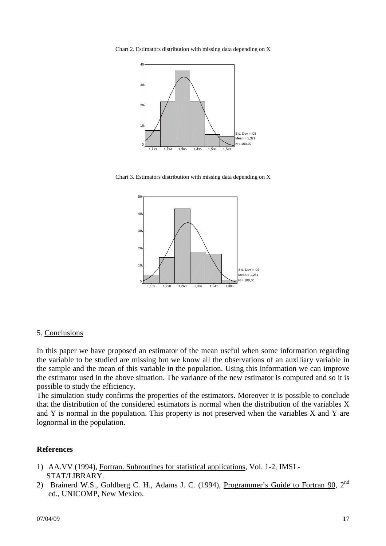Chart 2. Estimators distribution with missing data depending on X



Chart 3. Estimators distribution with missing data depending on X



#### 5. Conclusions

In this paper we have proposed an estimator of the mean useful when some information regarding the variable to be studied are missing but we know all the observations of an auxiliary variable in the sample and the mean of this variable in the population. Using this information we can improve the estimator used in the above situation. The variance of the new estimator is computed and so it is possible to study the efficiency.

The simulation study confirms the properties of the estimators. Moreover it is possible to conclude that the distribution of the considered estimators is normal when the distribution of the variables X and Y is normal in the population. This property is not preserved when the variables X and Y are lognormal in the population.

#### **References**

- 1) AA.VV (1994), Fortran. Subroutines for statistical applications, Vol. 1-2, IMSL- STAT/LIBRARY.
- 2) Brainerd W.S., Goldberg C. H., Adams J. C. (1994), Programmer's Guide to Fortran 90, 2<sup>nd</sup> ed., UNICOMP, New Mexico.